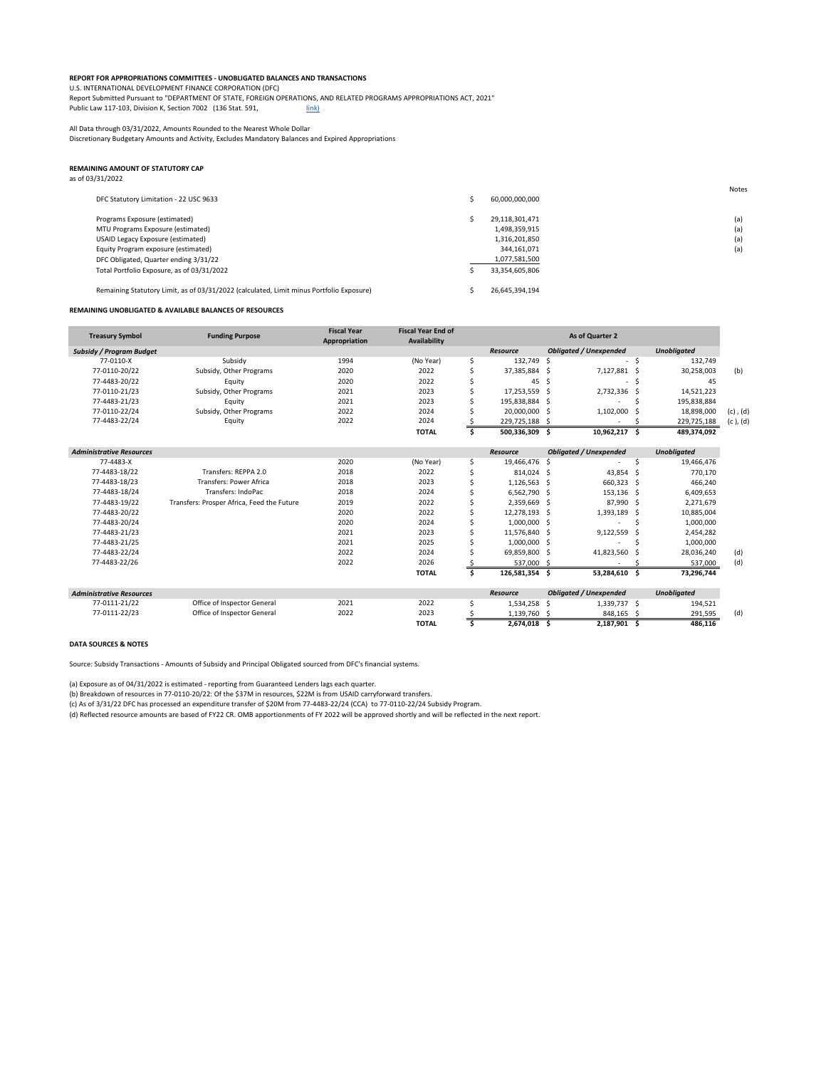## **REPORT FOR APPROPRIATIONS COMMITTEES - UNOBLIGATED BALANCES AND TRANSACTIONS**

Report Submitted Pursuant to "DEPARTMENT OF STATE, FOREIGN OPERATIONS, AND RELATED PROGRAMS APPROPRIATIONS ACT, 2021" Public Law 117-103, Division K, Section 7002 (136 Stat. 591, [link\)](https://uscode.house.gov/statviewer.htm?volume=136&page=591)

U.S. INTERNATIONAL DEVELOPMENT FINANCE CORPORATION (DFC)

All Data through 03/31/2022, Amounts Rounded to the Nearest Whole Dollar

Discretionary Budgetary Amounts and Activity, Excludes Mandatory Balances and Expired Appropriations

## **REMAINING AMOUNT OF STATUTORY CAP**

| as of 03/31/2022 |  |  |  |  |
|------------------|--|--|--|--|
|------------------|--|--|--|--|

| DFC Statutory Limitation - 22 USC 9633                                                   | 60,000,000,000 | Notes |
|------------------------------------------------------------------------------------------|----------------|-------|
| Programs Exposure (estimated)                                                            | 29,118,301,471 | (a)   |
| MTU Programs Exposure (estimated)                                                        | 1,498,359,915  | (a)   |
| USAID Legacy Exposure (estimated)                                                        | 1,316,201,850  | (a)   |
| Equity Program exposure (estimated)                                                      | 344,161,071    | (a)   |
| DFC Obligated, Quarter ending 3/31/22                                                    | 1,077,581,500  |       |
| Total Portfolio Exposure, as of 03/31/2022                                               | 33,354,605,806 |       |
| Remaining Statutory Limit, as of 03/31/2022 (calculated, Limit minus Portfolio Exposure) | 26,645,394,194 |       |

## **REMAINING UNOBLIGATED & AVAILABLE BALANCES OF RESOURCES**

| <b>Treasury Symbol</b>          | <b>Funding Purpose</b>                     | <b>Fiscal Year</b><br>Appropriation | <b>Fiscal Year End of</b><br>Availability |    |                 |     | As of Quarter 2               |     |                    |               |
|---------------------------------|--------------------------------------------|-------------------------------------|-------------------------------------------|----|-----------------|-----|-------------------------------|-----|--------------------|---------------|
| <b>Subsidy / Program Budget</b> |                                            |                                     |                                           |    | <b>Resource</b> |     | <b>Obligated / Unexpended</b> |     | <b>Unobligated</b> |               |
| 77-0110-X                       | Subsidy                                    | 1994                                | (No Year)                                 | \$ | 132,749         | -S  | $\sim$                        | -Ş  | 132,749            |               |
| 77-0110-20/22                   | Subsidy, Other Programs                    | 2020                                | 2022                                      |    | 37,385,884 \$   |     | 7,127,881                     | -S  | 30,258,003         | (b)           |
| 77-4483-20/22                   | Equity                                     | 2020                                | 2022                                      |    | 45              | \$  |                               |     | 45                 |               |
| 77-0110-21/23                   | Subsidy, Other Programs                    | 2021                                | 2023                                      |    | 17,253,559 \$   |     | 2,732,336                     | -S  | 14,521,223         |               |
| 77-4483-21/23                   | Equity                                     | 2021                                | 2023                                      |    | 195,838,884     | -\$ |                               |     | 195,838,884        |               |
| 77-0110-22/24                   | Subsidy, Other Programs                    | 2022                                | 2024                                      |    | 20,000,000 \$   |     | 1,102,000                     |     | 18,898,000         | $(c)$ , $(d)$ |
| 77-4483-22/24                   | Equity                                     | 2022                                | 2024                                      |    | 229,725,188 \$  |     |                               |     | 229,725,188        | $(c)$ , $(d)$ |
|                                 |                                            |                                     | <b>TOTAL</b>                              | Š. | 500,336,309 \$  |     | 10,962,217 \$                 |     | 489,374,092        |               |
| <b>Administrative Resources</b> |                                            |                                     |                                           |    | <b>Resource</b> |     | <b>Obligated / Unexpended</b> |     | <b>Unobligated</b> |               |
| 77-4483-X                       |                                            | 2020                                | (No Year)                                 | \$ | 19,466,476      | -\$ |                               | \$  | 19,466,476         |               |
| 77-4483-18/22                   | Transfers: REPPA 2.0                       | 2018                                | 2022                                      |    | 814,024         | -\$ | 43,854                        | -\$ | 770,170            |               |
| 77-4483-18/23                   | <b>Transfers: Power Africa</b>             | 2018                                | 2023                                      |    | $1,126,563$ \$  |     | 660,323                       | \$  | 466,240            |               |
| 77-4483-18/24                   | Transfers: IndoPac                         | 2018                                | 2024                                      |    | 6,562,790 \$    |     | $153,136$ \$                  |     | 6,409,653          |               |
| 77-4483-19/22                   | Transfers: Prosper Africa, Feed the Future | 2019                                | 2022                                      |    | 2,359,669 \$    |     | 87,990 \$                     |     | 2,271,679          |               |
| 77-4483-20/22                   |                                            | 2020                                | 2022                                      |    | 12,278,193 \$   |     | 1,393,189                     | -\$ | 10,885,004         |               |
| 77-4483-20/24                   |                                            | 2020                                | 2024                                      |    | $1,000,000$ \$  |     |                               |     | 1,000,000          |               |
| 77-4483-21/23                   |                                            | 2021                                | 2023                                      |    | 11,576,840 \$   |     | 9,122,559                     |     | 2,454,282          |               |
| 77-4483-21/25                   |                                            | 2021                                | 2025                                      |    | 1,000,000 \$    |     |                               |     | 1,000,000          |               |
| 77-4483-22/24                   |                                            | 2022                                | 2024                                      |    | 69,859,800 \$   |     | 41,823,560                    |     | 28,036,240         | (d)           |
| 77-4483-22/26                   |                                            | 2022                                | 2026                                      |    | 537,000         | -S  |                               |     | 537,000            | (d)           |
|                                 |                                            |                                     | <b>TOTAL</b>                              |    | 126,581,354 \$  |     | 53,284,610 \$                 |     | 73,296,744         |               |
| <b>Administrative Resources</b> |                                            |                                     |                                           |    | <b>Resource</b> |     | <b>Obligated / Unexpended</b> |     | <b>Unobligated</b> |               |
| 77-0111-21/22                   | Office of Inspector General                | 2021                                | 2022                                      |    | $1,534,258$ \$  |     | $1,339,737$ \$                |     | 194,521            |               |
| 77-0111-22/23                   | Office of Inspector General                | 2022                                | 2023                                      |    | 1,139,760 \$    |     | 848,165 \$                    |     | 291,595            | (d)           |

| <b>TOTAL</b> | 2,674,018 | 2,187,901 | 486,116 |
|--------------|-----------|-----------|---------|
|              |           |           |         |

## **DATA SOURCES & NOTES**

Source: Subsidy Transactions - Amounts of Subsidy and Principal Obligated sourced from DFC's financial systems.

(a) Exposure as of 04/31/2022 is estimated - reporting from Guaranteed Lenders lags each quarter.

(b) Breakdown of resources in 77-0110-20/22: Of the \$37M in resources, \$22M is from USAID carryforward transfers.

(c) As of 3/31/22 DFC has processed an expenditure transfer of \$20M from 77-4483-22/24 (CCA) to 77-0110-22/24 Subsidy Program.

(d) Reflected resource amounts are based of FY22 CR. OMB apportionments of FY 2022 will be approved shortly and will be reflected in the next report.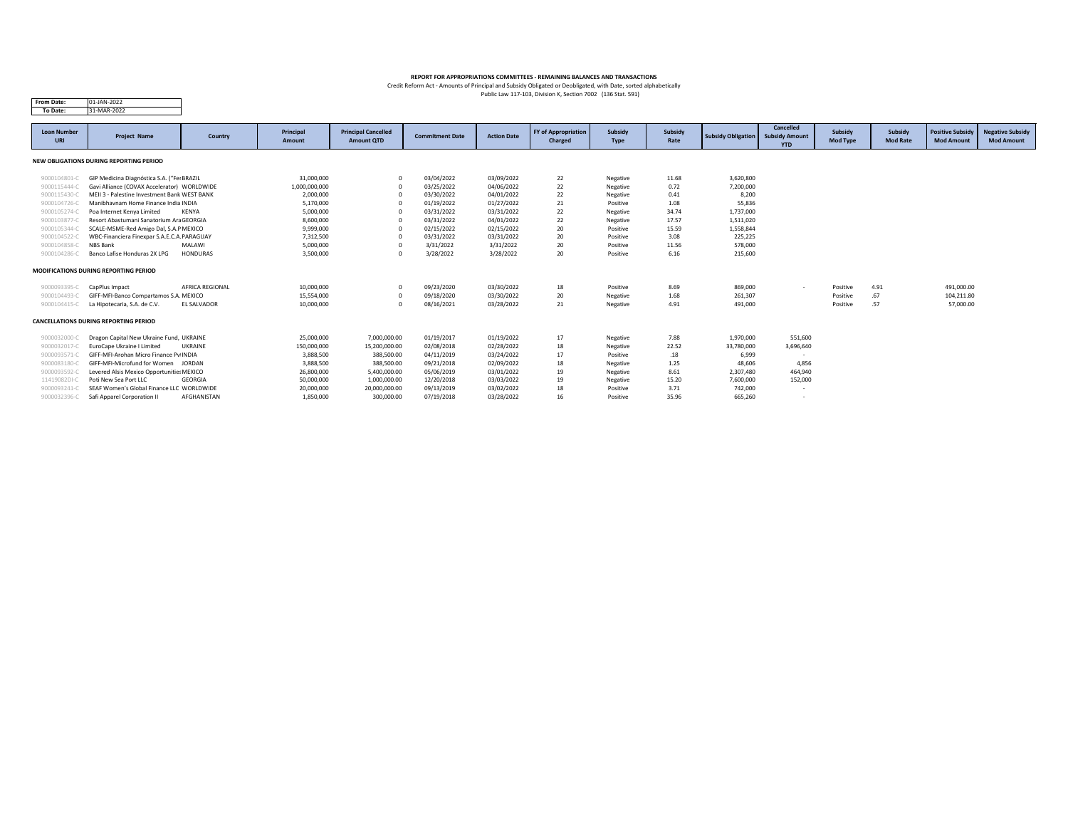| <b>From Date:</b>                | 01-JAN-2022                                  |                        |                            |                                                 |                        |                    |                                              |                               |                 |                           |                                     |                                   |                            |                                              |                                              |
|----------------------------------|----------------------------------------------|------------------------|----------------------------|-------------------------------------------------|------------------------|--------------------|----------------------------------------------|-------------------------------|-----------------|---------------------------|-------------------------------------|-----------------------------------|----------------------------|----------------------------------------------|----------------------------------------------|
| To Date:                         | 31-MAR-2022                                  |                        |                            |                                                 |                        |                    |                                              |                               |                 |                           |                                     |                                   |                            |                                              |                                              |
|                                  |                                              |                        |                            |                                                 |                        |                    |                                              |                               |                 |                           | <b>Cancelled</b>                    |                                   |                            |                                              |                                              |
| <b>Loan Number</b><br><b>URI</b> | <b>Project Name</b>                          | Country                | Principal<br><b>Amount</b> | <b>Principal Cancelled</b><br><b>Amount QTD</b> | <b>Commitment Date</b> | <b>Action Date</b> | <b>FY of Appropriation</b><br><b>Charged</b> | <b>Subsidy</b><br><b>Type</b> | Subsidy<br>Rate | <b>Subsidy Obligation</b> | <b>Subsidy Amount</b><br><b>YTD</b> | <b>Subsidy</b><br><b>Mod Type</b> | Subsidy<br><b>Mod Rate</b> | <b>Positive Subsidy</b><br><b>Mod Amount</b> | <b>Negative Subsidy</b><br><b>Mod Amount</b> |
|                                  | NEW OBLIGATIONS DURING REPORTING PERIOD      |                        |                            |                                                 |                        |                    |                                              |                               |                 |                           |                                     |                                   |                            |                                              |                                              |
| 9000104801-C                     | GIP Medicina Diagnóstica S.A. ("Fer BRAZIL   |                        | 31,000,000                 | $\overline{0}$                                  | 03/04/2022             | 03/09/2022         | 22                                           | Negative                      | 11.68           | 3,620,800                 |                                     |                                   |                            |                                              |                                              |
| 9000115444-C                     | Gavi Alliance (COVAX Accelerator) WORLDWIDE  |                        | 1,000,000,000              | - 0                                             | 03/25/2022             | 04/06/2022         | 22                                           | Negative                      | 0.72            | 7,200,000                 |                                     |                                   |                            |                                              |                                              |
| 9000115430-C                     | MEII 3 - Palestine Investment Bank WEST BANK |                        | 2,000,000                  | - 0                                             | 03/30/2022             | 04/01/2022         | 22                                           | Negative                      | 0.41            | 8,200                     |                                     |                                   |                            |                                              |                                              |
| 9000104726-C                     | Manibhavnam Home Finance India INDIA         |                        | 5,170,000                  | - 0                                             | 01/19/2022             | 01/27/2022         | 21                                           | Positive                      | 1.08            | 55,836                    |                                     |                                   |                            |                                              |                                              |
| 9000105274-C                     | Poa Internet Kenya Limited                   | <b>KENYA</b>           | 5,000,000                  | - 0                                             | 03/31/2022             | 03/31/2022         | 22                                           | Negative                      | 34.74           | 1,737,000                 |                                     |                                   |                            |                                              |                                              |
| 9000103877-C                     | Resort Abastumani Sanatorium Ara GEORGIA     |                        | 8,600,000                  | - 0                                             | 03/31/2022             | 04/01/2022         | 22                                           | Negative                      | 17.57           | 1,511,020                 |                                     |                                   |                            |                                              |                                              |
| 9000105344-C                     | SCALE-MSME-Red Amigo Dal, S.A.P MEXICO       |                        | 9,999,000                  | - 0                                             | 02/15/2022             | 02/15/2022         | 20                                           | Positive                      | 15.59           | 1,558,844                 |                                     |                                   |                            |                                              |                                              |
| 9000104522-C                     | WBC-Financiera Finexpar S.A.E.C.A. PARAGUAY  |                        | 7,312,500                  | $\Omega$                                        | 03/31/2022             | 03/31/2022         | 20                                           | Positive                      | 3.08            | 225,225                   |                                     |                                   |                            |                                              |                                              |
| 9000104858-C                     | NBS Bank                                     | <b>MALAWI</b>          | 5,000,000                  | $\Omega$                                        | 3/31/2022              | 3/31/2022          | 20                                           | Positive                      | 11.56           | 578,000                   |                                     |                                   |                            |                                              |                                              |
| 9000104286-C                     | Banco Lafise Honduras 2X LPG                 | <b>HONDURAS</b>        | 3,500,000                  | $\Omega$                                        | 3/28/2022              | 3/28/2022          | 20                                           | Positive                      | 6.16            | 215,600                   |                                     |                                   |                            |                                              |                                              |
|                                  | <b>MODIFICATIONS DURING REPORTING PERIOD</b> |                        |                            |                                                 |                        |                    |                                              |                               |                 |                           |                                     |                                   |                            |                                              |                                              |
| 9000093395-C                     | CapPlus Impact                               | <b>AFRICA REGIONAL</b> | 10,000,000                 | $\Omega$                                        | 09/23/2020             | 03/30/2022         | 18                                           | Positive                      | 8.69            | 869,000                   |                                     | Positive                          | 4.91                       | 491,000.00                                   |                                              |
| 9000104493-C                     | GIFF-MFI-Banco Compartamos S.A. MEXICO       |                        | 15,554,000                 | $\Omega$                                        | 09/18/2020             | 03/30/2022         | 20                                           | Negative                      | 1.68            | 261,307                   |                                     | Positive                          | .67                        | 104,211.80                                   |                                              |
| 9000104415-C                     | La Hipotecaria, S.A. de C.V.                 | <b>EL SALVADOR</b>     | 10,000,000                 | $\Omega$                                        | 08/16/2021             | 03/28/2022         | 21                                           | Negative                      | 4.91            | 491,000                   |                                     | Positive                          | .57                        | 57,000.00                                    |                                              |
|                                  | <b>CANCELLATIONS DURING REPORTING PERIOD</b> |                        |                            |                                                 |                        |                    |                                              |                               |                 |                           |                                     |                                   |                            |                                              |                                              |
| 9000032000-C                     | Dragon Capital New Ukraine Fund, UKRAINE     |                        | 25,000,000                 | 7,000,000.00                                    | 01/19/2017             | 01/19/2022         | 17                                           | Negative                      | 7.88            | 1,970,000                 | 551,600                             |                                   |                            |                                              |                                              |
| 9000032017-C                     | <b>EuroCape Ukraine I Limited</b>            | <b>UKRAINE</b>         | 150,000,000                | 15,200,000.00                                   | 02/08/2018             | 02/28/2022         | 18                                           | Negative                      | 22.52           | 33,780,000                | 3,696,640                           |                                   |                            |                                              |                                              |
| 9000093571-C                     | GIFF-MFI-Arohan Micro Finance Pv INDIA       |                        | 3,888,500                  | 388,500.00                                      | 04/11/2019             | 03/24/2022         | 17                                           | Positive                      | .18             | 6,999                     | $\sim$                              |                                   |                            |                                              |                                              |
| 9000083180-0                     | GIFF-MFI-Microfund for Women                 | JORDAN                 | 3,888,500                  | 388,500.00                                      | 09/21/2018             | 02/09/2022         | 18                                           | Negative                      | 1.25            | 48,606                    | 4,856                               |                                   |                            |                                              |                                              |
| 9000093592-0                     | Levered Alsis Mexico Opportunities MEXICO    |                        | 26,800,000                 | 5,400,000.00                                    | 05/06/2019             | 03/01/2022         | 19                                           | Negative                      | 8.61            | 2,307,480                 | 464,940                             |                                   |                            |                                              |                                              |
| 11419082DI-C                     | Poti New Sea Port LLC                        | <b>GEORGIA</b>         | 50,000,000                 | 1,000,000.00                                    | 12/20/2018             | 03/03/2022         | 19                                           | Negative                      | 15.20           | 7,600,000                 | 152,000                             |                                   |                            |                                              |                                              |
| 9000093241-0                     | SEAF Women's Global Finance LLC WORLDWIDE    |                        | 20,000,000                 | 20,000,000.00                                   | 09/13/2019             | 03/02/2022         | 18                                           | Positive                      | 3.71            | 742,000                   |                                     |                                   |                            |                                              |                                              |
| 9000032396-C                     | Safi Apparel Corporation II                  | AFGHANISTAN            | 1,850,000                  | 300,000.00                                      | 07/19/2018             | 03/28/2022         | 16                                           | Positive                      | 35.96           | 665,260                   | $\overline{\phantom{0}}$            |                                   |                            |                                              |                                              |

Public Law 117-103, Division K, Section 7002 (136 Stat. 591) Credit Reform Act - Amounts of Principal and Subsidy Obligated or Deobligated, with Date, sorted alphabetically

# **REPORT FOR APPROPRIATIONS COMMITTEES - REMAINING BALANCES AND TRANSACTIONS**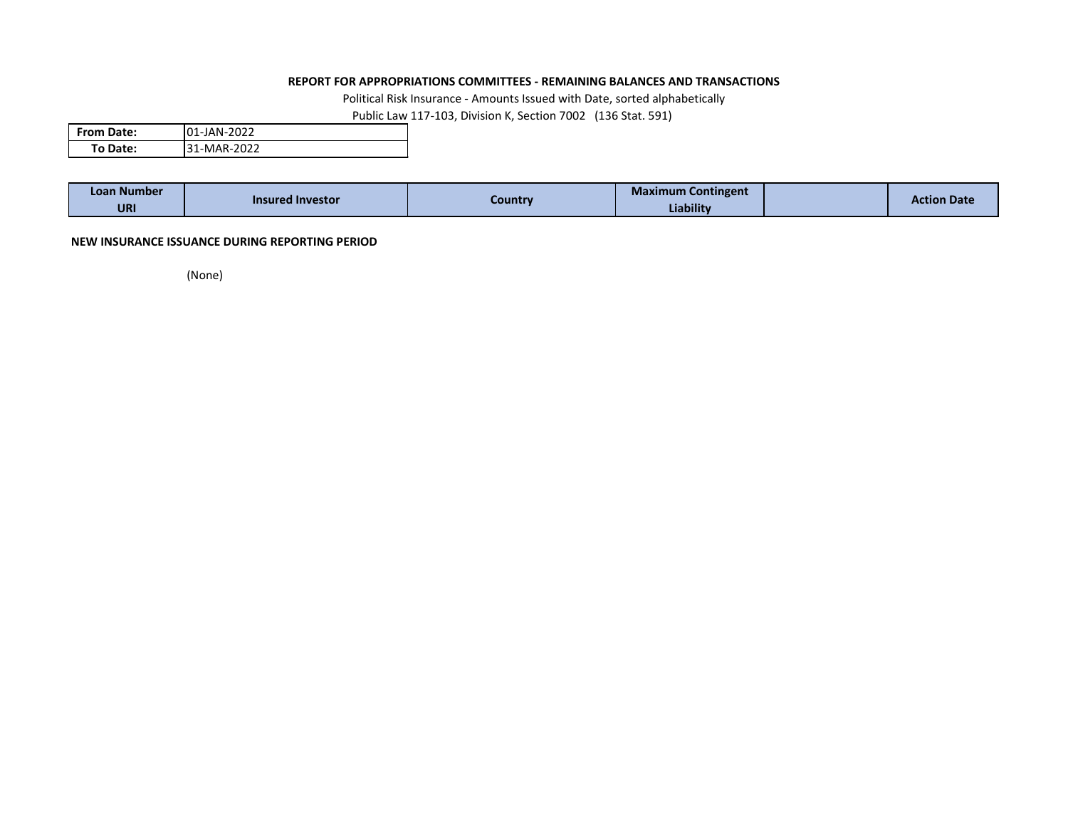## **REPORT FOR APPROPRIATIONS COMMITTEES - REMAINING BALANCES AND TRANSACTIONS**

Political Risk Insurance - Amounts Issued with Date, sorted alphabetically

Public Law 117-103, Division K, Section 7002 (136 Stat. 591)

| <b>From Date:</b> | <b>101-JAN-2022</b> |
|-------------------|---------------------|
| To Date:          | 31-MAR-2022         |

| Loan Number | <b>Insured Investor</b> |         | - -<br><b>Maximum Contingent</b> | <b>Action Date</b> |
|-------------|-------------------------|---------|----------------------------------|--------------------|
| <b>URI</b>  |                         | Country | Liability                        |                    |

## **NEW INSURANCE ISSUANCE DURING REPORTING PERIOD**

(None)